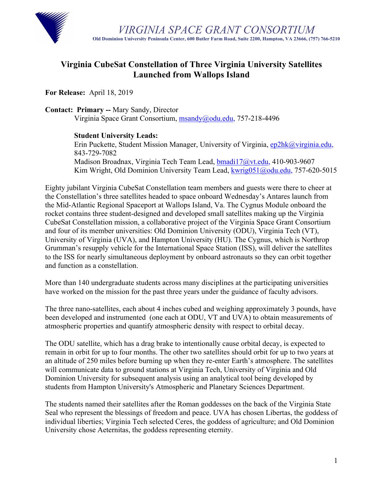

## **Virginia CubeSat Constellation of Three Virginia University Satellites Launched from Wallops Island**

**For Release:** April 18, 2019

**Contact: Primary --** Mary Sandy, Director

Virginia Space Grant Consortium, msandy@odu.edu, 757-218-4496

## **Student University Leads:**

Erin Puckette, Student Mission Manager, University of Virginia, ep2hk@virginia.edu, 843-729-7082 Madison Broadnax, Virginia Tech Team Lead, **bmadi17@vt.edu**, 410-903-9607 Kim Wright, Old Dominion University Team Lead, kwrig051@odu.edu, 757-620-5015

Eighty jubilant Virginia CubeSat Constellation team members and guests were there to cheer at the Constellation's three satellites headed to space onboard Wednesday's Antares launch from the Mid-Atlantic Regional Spaceport at Wallops Island, Va. The Cygnus Module onboard the rocket contains three student-designed and developed small satellites making up the Virginia CubeSat Constellation mission, a collaborative project of the Virginia Space Grant Consortium and four of its member universities: Old Dominion University (ODU), Virginia Tech (VT), University of Virginia (UVA), and Hampton University (HU). The Cygnus, which is Northrop Grumman's resupply vehicle for the International Space Station (ISS), will deliver the satellites to the ISS for nearly simultaneous deployment by onboard astronauts so they can orbit together and function as a constellation.

More than 140 undergraduate students across many disciplines at the participating universities have worked on the mission for the past three years under the guidance of faculty advisors.

The three nano-satellites, each about 4 inches cubed and weighing approximately 3 pounds, have been developed and instrumented (one each at ODU, VT and UVA) to obtain measurements of atmospheric properties and quantify atmospheric density with respect to orbital decay.

The ODU satellite, which has a drag brake to intentionally cause orbital decay, is expected to remain in orbit for up to four months. The other two satellites should orbit for up to two years at an altitude of 250 miles before burning up when they re-enter Earth's atmosphere. The satellites will communicate data to ground stations at Virginia Tech, University of Virginia and Old Dominion University for subsequent analysis using an analytical tool being developed by students from Hampton University's Atmospheric and Planetary Sciences Department.

The students named their satellites after the Roman goddesses on the back of the Virginia State Seal who represent the blessings of freedom and peace. UVA has chosen Libertas, the goddess of individual liberties; Virginia Tech selected Ceres, the goddess of agriculture; and Old Dominion University chose Aeternitas, the goddess representing eternity.